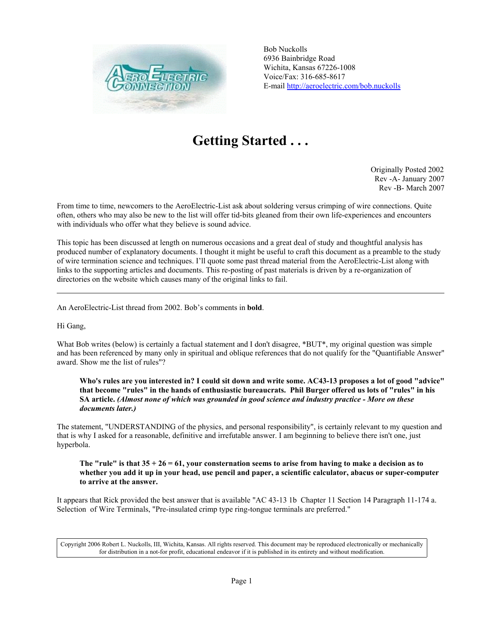

Bob Nuckolls 6936 Bainbridge Road Wichita, Kansas 67226-1008 Voice/Fax: 316-685-8617 E-mail http://aeroelectric.com/bob.nuckolls

# **Getting Started . . .**

Originally Posted 2002 Rev -A- January 2007 Rev -B- March 2007

From time to time, newcomers to the AeroElectric-List ask about soldering versus crimping of wire connections. Quite often, others who may also be new to the list will offer tid-bits gleaned from their own life-experiences and encounters with individuals who offer what they believe is sound advice.

This topic has been discussed at length on numerous occasions and a great deal of study and thoughtful analysis has produced number of explanatory documents. I thought it might be useful to craft this document as a preamble to the study of wire termination science and techniques. I'll quote some past thread material from the AeroElectric-List along with links to the supporting articles and documents. This re-posting of past materials is driven by a re-organization of directories on the website which causes many of the original links to fail.

An AeroElectric-List thread from 2002. Bob's comments in **bold**.

Hi Gang,

What Bob writes (below) is certainly a factual statement and I don't disagree, \*BUT\*, my original question was simple and has been referenced by many only in spiritual and oblique references that do not qualify for the "Quantifiable Answer" award. Show me the list of rules"?

**Who's rules are you interested in? I could sit down and write some. AC43-13 proposes a lot of good "advice" that become "rules" in the hands of enthusiastic bureaucrats. Phil Burger offered us lots of "rules" in his SA article.** *(Almost none of which was grounded in good science and industry practice - More on these documents later.)*

The statement, "UNDERSTANDING of the physics, and personal responsibility", is certainly relevant to my question and that is why I asked for a reasonable, definitive and irrefutable answer. I am beginning to believe there isn't one, just hyperbola.

## **The "rule" is that 35 + 26 = 61, your consternation seems to arise from having to make a decision as to whether you add it up in your head, use pencil and paper, a scientific calculator, abacus or super-computer to arrive at the answer.**

It appears that Rick provided the best answer that is available "AC 43-13 1b Chapter 11 Section 14 Paragraph 11-174 a. Selection of Wire Terminals, "Pre-insulated crimp type ring-tongue terminals are preferred."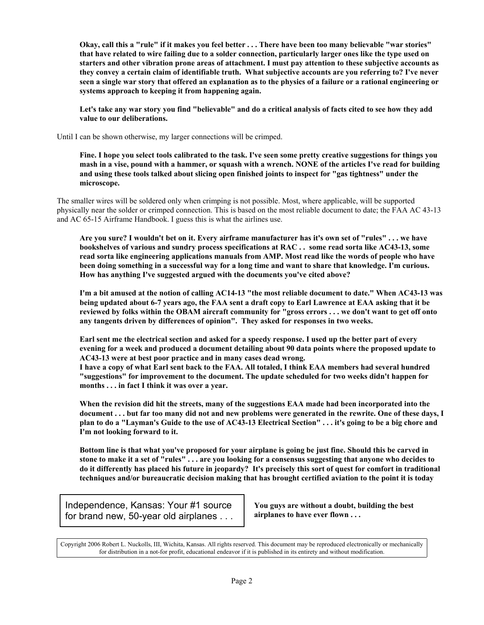**Okay, call this a "rule" if it makes you feel better . . . There have been too many believable "war stories" that have related to wire failing due to a solder connection, particularly larger ones like the type used on starters and other vibration prone areas of attachment. I must pay attention to these subjective accounts as they convey a certain claim of identifiable truth. What subjective accounts are you referring to? I've never seen a single war story that offered an explanation as to the physics of a failure or a rational engineering or systems approach to keeping it from happening again.**

**Let's take any war story you find "believable" and do a critical analysis of facts cited to see how they add value to our deliberations.**

Until I can be shown otherwise, my larger connections will be crimped.

**Fine. I hope you select tools calibrated to the task. I've seen some pretty creative suggestions for things you mash in a vise, pound with a hammer, or squash with a wrench. NONE of the articles I've read for building and using these tools talked about slicing open finished joints to inspect for "gas tightness" under the microscope.**

The smaller wires will be soldered only when crimping is not possible. Most, where applicable, will be supported physically near the solder or crimped connection. This is based on the most reliable document to date; the FAA AC 43-13 and AC 65-15 Airframe Handbook. I guess this is what the airlines use.

**Are you sure? I wouldn't bet on it. Every airframe manufacturer has it's own set of "rules" . . . we have bookshelves of various and sundry process specifications at RAC . . some read sorta like AC43-13, some read sorta like engineering applications manuals from AMP. Most read like the words of people who have been doing something in a successful way for a long time and want to share that knowledge. I'm curious. How has anything I've suggested argued with the documents you've cited above?**

**I'm a bit amused at the notion of calling AC14-13 "the most reliable document to date." When AC43-13 was being updated about 6-7 years ago, the FAA sent a draft copy to Earl Lawrence at EAA asking that it be reviewed by folks within the OBAM aircraft community for "gross errors . . . we don't want to get off onto any tangents driven by differences of opinion". They asked for responses in two weeks.**

**Earl sent me the electrical section and asked for a speedy response. I used up the better part of every evening for a week and produced a document detailing about 90 data points where the proposed update to AC43-13 were at best poor practice and in many cases dead wrong.**

**I have a copy of what Earl sent back to the FAA. All totaled, I think EAA members had several hundred "suggestions" for improvement to the document. The update scheduled for two weeks didn't happen for months . . . in fact I think it was over a year.**

**When the revision did hit the streets, many of the suggestions EAA made had been incorporated into the document . . . but far too many did not and new problems were generated in the rewrite. One of these days, I plan to do a "Layman's Guide to the use of AC43-13 Electrical Section" . . . it's going to be a big chore and I'm not looking forward to it.**

**Bottom line is that what you've proposed for your airplane is going be just fine. Should this be carved in stone to make it a set of "rules" . . . are you looking for a consensus suggesting that anyone who decides to do it differently has placed his future in jeopardy? It's precisely this sort of quest for comfort in traditional techniques and/or bureaucratic decision making that has brought certified aviation to the point it is today**

Independence, Kansas: Your #1 source for brand new, 50-year old airplanes . . .

**You guys are without a doubt, building the best airplanes to have ever flown . . .**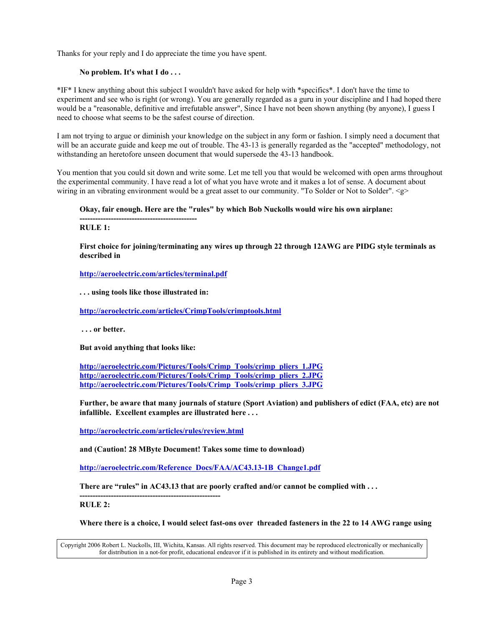Thanks for your reply and I do appreciate the time you have spent.

# **No problem. It's what I do . . .**

\*IF\* I knew anything about this subject I wouldn't have asked for help with \*specifics\*. I don't have the time to experiment and see who is right (or wrong). You are generally regarded as a guru in your discipline and I had hoped there would be a "reasonable, definitive and irrefutable answer", Since I have not been shown anything (by anyone), I guess I need to choose what seems to be the safest course of direction.

I am not trying to argue or diminish your knowledge on the subject in any form or fashion. I simply need a document that will be an accurate guide and keep me out of trouble. The 43-13 is generally regarded as the "accepted" methodology, not withstanding an heretofore unseen document that would supersede the 43-13 handbook.

You mention that you could sit down and write some. Let me tell you that would be welcomed with open arms throughout the experimental community. I have read a lot of what you have wrote and it makes a lot of sense. A document about wiring in an vibrating environment would be a great asset to our community. "To Solder or Not to Solder". <g>

## **Okay, fair enough. Here are the "rules" by which Bob Nuckolls would wire his own airplane:**

**--------------------------------------------- RULE 1:**

**First choice for joining/terminating any wires up through 22 through 12AWG are PIDG style terminals as described in**

**http://aeroelectric.com/articles/terminal.pdf**

**. . . using tools like those illustrated in:**

**http://aeroelectric.com/articles/CrimpTools/crimptools.html**

 **. . . or better.**

**But avoid anything that looks like:**

**http://aeroelectric.com/Pictures/Tools/Crimp\_Tools/crimp\_pliers\_1.JPG http://aeroelectric.com/Pictures/Tools/Crimp\_Tools/crimp\_pliers\_2.JPG http://aeroelectric.com/Pictures/Tools/Crimp\_Tools/crimp\_pliers\_3.JPG**

**Further, be aware that many journals of stature (Sport Aviation) and publishers of edict (FAA, etc) are not infallible. Excellent examples are illustrated here . . .**

**http://aeroelectric.com/articles/rules/review.html**

**and (Caution! 28 MByte Document! Takes some time to download)**

**http://aeroelectric.com/Reference\_Docs/FAA/AC43.13-1B\_Change1.pdf**

**There are "rules" in AC43.13 that are poorly crafted and/or cannot be complied with . . .**

**------------------------------------------------------ RULE 2:**

**Where there is a choice, I would select fast-ons over threaded fasteners in the 22 to 14 AWG range using**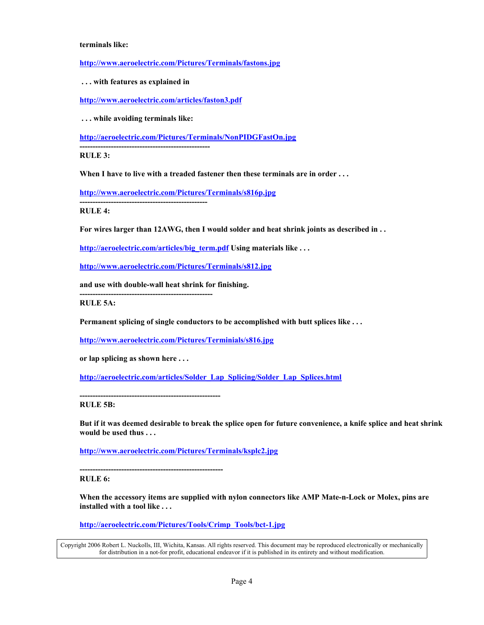#### **terminals like:**

**http://www.aeroelectric.com/Pictures/Terminals/fastons.jpg**

 **. . . with features as explained in**

**http://www.aeroelectric.com/articles/faston3.pdf**

 **. . . while avoiding terminals like:**

**http://aeroelectric.com/Pictures/Terminals/NonPIDGFastOn.jpg**

**--------------------------------------------------**

**RULE 3:**

**When I have to live with a treaded fastener then these terminals are in order . . .**

**http://www.aeroelectric.com/Pictures/Terminals/s816p.jpg**

**-------------------------------------------------**

**---------------------------------------------------**

**RULE 4:**

**For wires larger than 12AWG, then I would solder and heat shrink joints as described in . .** 

**http://aeroelectric.com/articles/big\_term.pdf Using materials like . . .**

**http://www.aeroelectric.com/Pictures/Terminals/s812.jpg**

**and use with double-wall heat shrink for finishing.**

**RULE 5A:**

**Permanent splicing of single conductors to be accomplished with butt splices like . . .**

**http://www.aeroelectric.com/Pictures/Terminials/s816.jpg**

**or lap splicing as shown here . . .**

**http://aeroelectric.com/articles/Solder\_Lap\_Splicing/Solder\_Lap\_Splices.html**

**------------------------------------------------------**

**RULE 5B:**

**But if it was deemed desirable to break the splice open for future convenience, a knife splice and heat shrink would be used thus . . .**

**http://www.aeroelectric.com/Pictures/Terminals/ksplc2.jpg**

**-------------------------------------------------------**

**RULE 6:**

**When the accessory items are supplied with nylon connectors like AMP Mate-n-Lock or Molex, pins are installed with a tool like . . .**

**http://aeroelectric.com/Pictures/Tools/Crimp\_Tools/bct-1.jpg**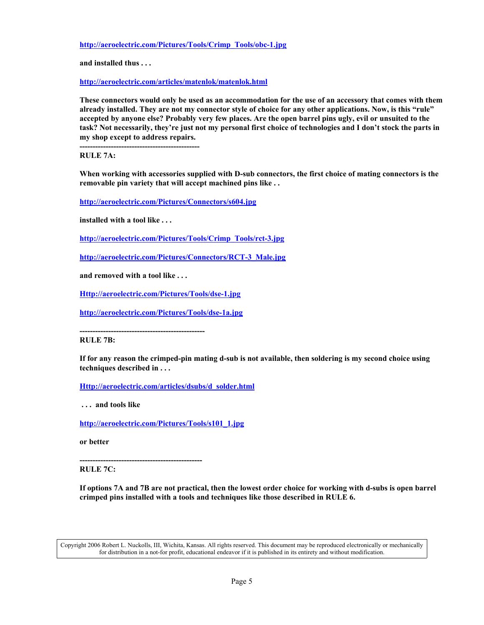**http://aeroelectric.com/Pictures/Tools/Crimp\_Tools/obc-1.jpg**

**and installed thus . . .**

**http://aeroelectric.com/articles/matenlok/matenlok.html**

**These connectors would only be used as an accommodation for the use of an accessory that comes with them already installed. They are not my connector style of choice for any other applications. Now, is this "rule" accepted by anyone else? Probably very few places. Are the open barrel pins ugly, evil or unsuited to the task? Not necessarily, they're just not my personal first choice of technologies and I don't stock the parts in my shop except to address repairs.**

**----------------------------------------------**

**RULE 7A:**

**When working with accessories supplied with D-sub connectors, the first choice of mating connectors is the removable pin variety that will accept machined pins like . .** 

**http://aeroelectric.com/Pictures/Connectors/s604.jpg**

**installed with a tool like . . .**

**http://aeroelectric.com/Pictures/Tools/Crimp\_Tools/rct-3.jpg**

**http://aeroelectric.com/Pictures/Connectors/RCT-3\_Male.jpg**

**and removed with a tool like . . .**

**Http://aeroelectric.com/Pictures/Tools/dse-1.jpg**

**http://aeroelectric.com/Pictures/Tools/dse-1a.jpg**

**------------------------------------------------**

**RULE 7B:**

**If for any reason the crimped-pin mating d-sub is not available, then soldering is my second choice using techniques described in . . .**

**Http://aeroelectric.com/articles/dsubs/d\_solder.html**

 **. . . and tools like**

**http://aeroelectric.com/Pictures/Tools/s101\_1.jpg**

**or better**

**-----------------------------------------------**

**RULE 7C:**

**If options 7A and 7B are not practical, then the lowest order choice for working with d-subs is open barrel crimped pins installed with a tools and techniques like those described in RULE 6.**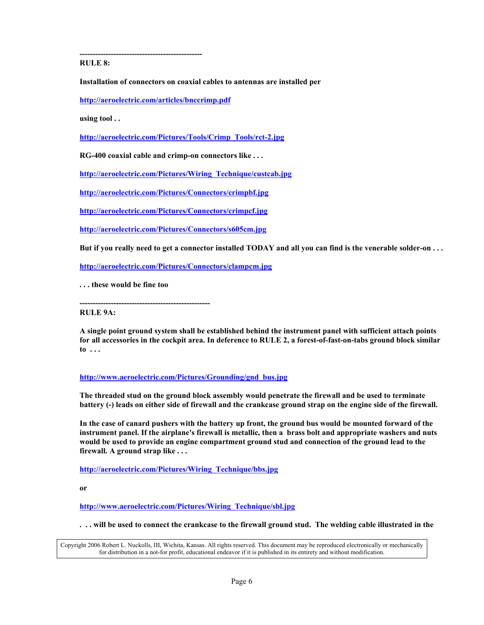**RULE 8:**

**Installation of connectors on coaxial cables to antennas are installed per**

**http://aeroelectric.com/articles/bnccrimp.pdf**

**-----------------------------------------------**

**using tool . .** 

**http://aeroelectric.com/Pictures/Tools/Crimp\_Tools/rct-2.jpg**

**RG-400 coaxial cable and crimp-on connectors like . . .**

**http://aeroelectric.com/Pictures/Wiring\_Technique/custcab.jpg**

**http://aeroelectric.com/Pictures/Connectors/crimpbf.jpg**

**http://aeroelectric.com/Pictures/Connectors/crimpcf.jpg**

**http://aeroelectric.com/Pictures/Connectors/s605cm.jpg**

**But if you really need to get a connector installed TODAY and all you can find is the venerable solder-on . . .**

**http://aeroelectric.com/Pictures/Connectors/clampcm.jpg**

**. . . these would be fine too**

**--------------------------------------------------**

**RULE 9A:**

**A single point ground system shall be established behind the instrument panel with sufficient attach points for all accessories in the cockpit area. In deference to RULE 2, a forest-of-fast-on-tabs ground block similar to . . .**

## **http://www.aeroelectric.com/Pictures/Grounding/gnd\_bus.jpg**

**The threaded stud on the ground block assembly would penetrate the firewall and be used to terminate battery (-) leads on either side of firewall and the crankcase ground strap on the engine side of the firewall.**

**In the case of canard pushers with the battery up front, the ground bus would be mounted forward of the instrument panel. If the airplane's firewall is metallic, then a brass bolt and appropriate washers and nuts would be used to provide an engine compartment ground stud and connection of the ground lead to the firewall. A ground strap like . . .**

**http://aeroelectric.com/Pictures/Wiring\_Technique/bbs.jpg**

**or**

**http://www.aeroelectric.com/Pictures/Wiring\_Technique/sbl.jpg**

**. . . will be used to connect the crankcase to the firewall ground stud. The welding cable illustrated in the**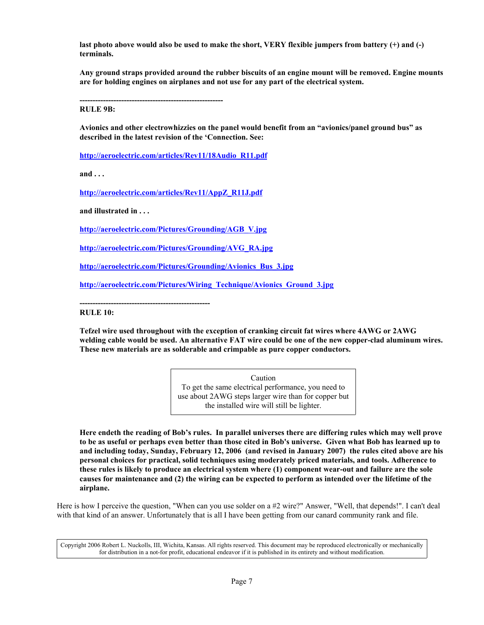**last photo above would also be used to make the short, VERY flexible jumpers from battery (+) and (-) terminals.**

**Any ground straps provided around the rubber biscuits of an engine mount will be removed. Engine mounts are for holding engines on airplanes and not use for any part of the electrical system.**

**------------------------------------------------------- RULE 9B:**

**Avionics and other electrowhizzies on the panel would benefit from an "avionics/panel ground bus" as described in the latest revision of the 'Connection. See:**

**http://aeroelectric.com/articles/Rev11/18Audio\_R11.pdf**

**and . . .**

**http://aeroelectric.com/articles/Rev11/AppZ\_R11J.pdf**

**and illustrated in . . .**

**http://aeroelectric.com/Pictures/Grounding/AGB\_V.jpg**

**http://aeroelectric.com/Pictures/Grounding/AVG\_RA.jpg**

**http://aeroelectric.com/Pictures/Grounding/Avionics\_Bus\_3.jpg**

**http://aeroelectric.com/Pictures/Wiring\_Technique/Avionics\_Ground\_3.jpg**

**--------------------------------------------------**

**RULE 10:**

**Tefzel wire used throughout with the exception of cranking circuit fat wires where 4AWG or 2AWG welding cable would be used. An alternative FAT wire could be one of the new copper-clad aluminum wires. These new materials are as solderable and crimpable as pure copper conductors.**

> Caution To get the same electrical performance, you need to use about 2AWG steps larger wire than for copper but the installed wire will still be lighter.

**Here endeth the reading of Bob's rules. In parallel universes there are differing rules which may well prove to be as useful or perhaps even better than those cited in Bob's universe. Given what Bob has learned up to and including today, Sunday, February 12, 2006 (and revised in January 2007) the rules cited above are his personal choices for practical, solid techniques using moderately priced materials, and tools. Adherence to these rules is likely to produce an electrical system where (1) component wear-out and failure are the sole causes for maintenance and (2) the wiring can be expected to perform as intended over the lifetime of the airplane.**

Here is how I perceive the question, "When can you use solder on a #2 wire?" Answer, "Well, that depends!". I can't deal with that kind of an answer. Unfortunately that is all I have been getting from our canard community rank and file.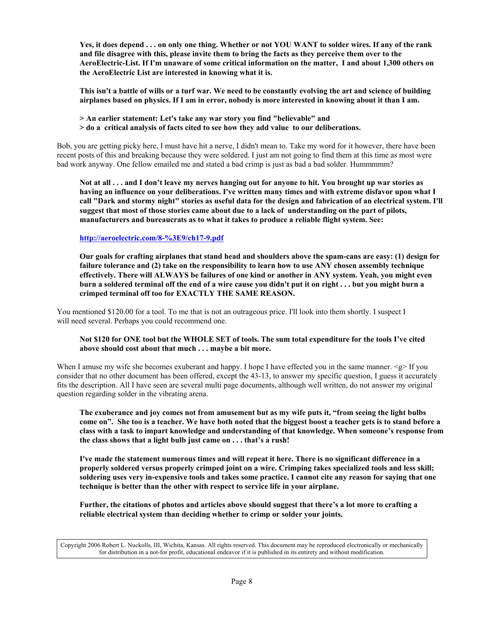**Yes, it does depend . . . on only one thing. Whether or not YOU WANT to solder wires. If any of the rank and file disagree with this, please invite them to bring the facts as they perceive them over to the AeroElectric-List. If I'm unaware of some critical information on the matter, I and about 1,300 others on the AeroElectric List are interested in knowing what it is.**

**This isn't a battle of wills or a turf war. We need to be constantly evolving the art and science of building airplanes based on physics. If I am in error, nobody is more interested in knowing about it than I am.**

- **> An earlier statement: Let's take any war story you find "believable" and**
- **> do a critical analysis of facts cited to see how they add value to our deliberations.**

Bob, you are getting picky here, I must have hit a nerve, I didn't mean to. Take my word for it however, there have been recent posts of this and breaking because they were soldered. I just am not going to find them at this time as most were bad work anyway. One fellow emailed me and stated a bad crimp is just as bad a bad solder. Hummmmm?

**Not at all . . . and I don't leave my nerves hanging out for anyone to hit. You brought up war stories as having an influence on your deliberations. I've written many times and with extreme disfavor upon what I call "Dark and stormy night" stories as useful data for the design and fabrication of an electrical system. I'll suggest that most of those stories came about due to a lack of understanding on the part of pilots, manufacturers and bureaucrats as to what it takes to produce a reliable flight system. See:**

## **http://aeroelectric.com/8-%3E9/ch17-9.pdf**

**Our goals for crafting airplanes that stand head and shoulders above the spam-cans are easy: (1) design for failure tolerance and (2) take on the responsibility to learn how to use ANY chosen assembly technique effectively. There will ALWAYS be failures of one kind or another in ANY system. Yeah, you might even burn a soldered terminal off the end of a wire cause you didn't put it on right . . . but you might burn a crimped terminal off too for EXACTLY THE SAME REASON.**

You mentioned \$120.00 for a tool. To me that is not an outrageous price. I'll look into them shortly. I suspect I will need several. Perhaps you could recommend one.

## **Not \$120 for ONE tool but the WHOLE SET of tools. The sum total expenditure for the tools I've cited above should cost about that much . . . maybe a bit more.**

When I amuse my wife she becomes exuberant and happy. I hope I have effected you in the same manner.  $\leq e$  If you consider that no other document has been offered, except the 43-13, to answer my specific question, I guess it accurately fits the description. All I have seen are several multi page documents, although well written, do not answer my original question regarding solder in the vibrating arena.

**The exuberance and joy comes not from amusement but as my wife puts it, "from seeing the light bulbs come on". She too is a teacher. We have both noted that the biggest boost a teacher gets is to stand before a class with a task to impart knowledge and understanding of that knowledge. When someone's response from the class shows that a light bulb just came on . . . that's a rush!**

**I've made the statement numerous times and will repeat it here. There is no significant difference in a properly soldered versus properly crimped joint on a wire. Crimping takes specialized tools and less skill; soldering uses very in-expensive tools and takes some practice. I cannot cite any reason for saying that one technique is better than the other with respect to service life in your airplane.**

**Further, the citations of photos and articles above should suggest that there's a lot more to crafting a reliable electrical system than deciding whether to crimp or solder your joints.**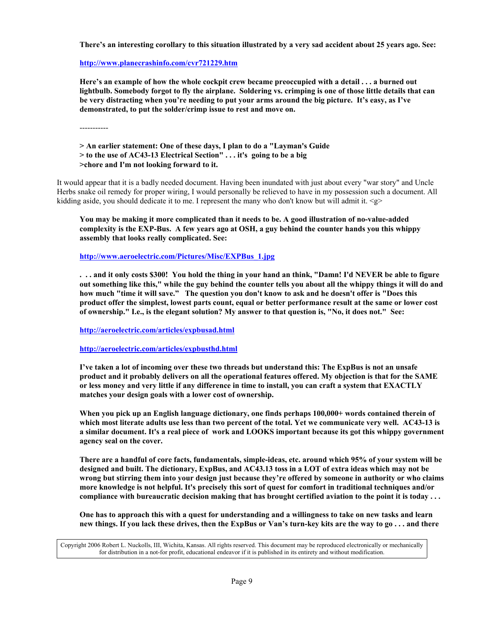**There's an interesting corollary to this situation illustrated by a very sad accident about 25 years ago. See:**

**http://www.planecrashinfo.com/cvr721229.htm**

**Here's an example of how the whole cockpit crew became preoccupied with a detail . . . a burned out lightbulb. Somebody forgot to fly the airplane. Soldering vs. crimping is one of those little details that can be very distracting when you're needing to put your arms around the big picture. It's easy, as I've demonstrated, to put the solder/crimp issue to rest and move on.**

-----------

**> An earlier statement: One of these days, I plan to do a "Layman's Guide > to the use of AC43-13 Electrical Section" . . . it's going to be a big >chore and I'm not looking forward to it.**

It would appear that it is a badly needed document. Having been inundated with just about every "war story" and Uncle Herbs snake oil remedy for proper wiring, I would personally be relieved to have in my possession such a document. All kidding aside, you should dedicate it to me. I represent the many who don't know but will admit it.  $\leq p$ 

**You may be making it more complicated than it needs to be. A good illustration of no-value-added complexity is the EXP-Bus. A few years ago at OSH, a guy behind the counter hands you this whippy assembly that looks really complicated. See:**

**http://www.aeroelectric.com/Pictures/Misc/EXPBus\_1.jpg**

**. . . and it only costs \$300! You hold the thing in your hand an think, "Damn! I'd NEVER be able to figure out something like this," while the guy behind the counter tells you about all the whippy things it will do and how much "time it will save." The question you don't know to ask and he doesn't offer is "Does this product offer the simplest, lowest parts count, equal or better performance result at the same or lower cost of ownership." I.e., is the elegant solution? My answer to that question is, "No, it does not." See:** 

**http://aeroelectric.com/articles/expbusad.html**

**http://aeroelectric.com/articles/expbusthd.html**

**I've taken a lot of incoming over these two threads but understand this: The ExpBus is not an unsafe product and it probably delivers on all the operational features offered. My objection is that for the SAME or less money and very little if any difference in time to install, you can craft a system that EXACTLY matches your design goals with a lower cost of ownership.**

When you pick up an English language dictionary, one finds perhaps 100,000+ words contained therein of **which most literate adults use less than two percent of the total. Yet we communicate very well. AC43-13 is a similar document. It's a real piece of work and LOOKS important because its got this whippy government agency seal on the cover.**

**There are a handful of core facts, fundamentals, simple-ideas, etc. around which 95% of your system will be designed and built. The dictionary, ExpBus, and AC43.13 toss in a LOT of extra ideas which may not be wrong but stirring them into your design just because they're offered by someone in authority or who claims more knowledge is not helpful. It's precisely this sort of quest for comfort in traditional techniques and/or compliance with bureaucratic decision making that has brought certified aviation to the point it is today . . .**

**One has to approach this with a quest for understanding and a willingness to take on new tasks and learn new things. If you lack these drives, then the ExpBus or Van's turn-key kits are the way to go . . . and there**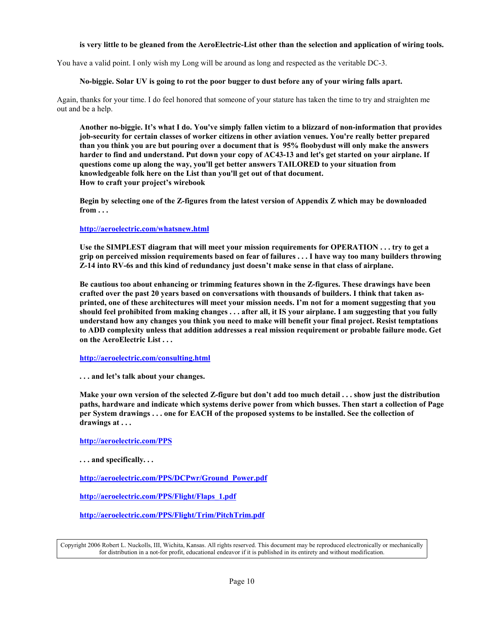## **is very little to be gleaned from the AeroElectric-List other than the selection and application of wiring tools.**

You have a valid point. I only wish my Long will be around as long and respected as the veritable DC-3.

### **No-biggie. Solar UV is going to rot the poor bugger to dust before any of your wiring falls apart.**

Again, thanks for your time. I do feel honored that someone of your stature has taken the time to try and straighten me out and be a help.

**Another no-biggie. It's what I do. You've simply fallen victim to a blizzard of non-information that provides job-security for certain classes of worker citizens in other aviation venues. You're really better prepared than you think you are but pouring over a document that is 95% floobydust will only make the answers harder to find and understand. Put down your copy of AC43-13 and let's get started on your airplane. If questions come up along the way, you'll get better answers TAILORED to your situation from knowledgeable folk here on the List than you'll get out of that document. How to craft your project's wirebook**

**Begin by selecting one of the Z-figures from the latest version of Appendix Z which may be downloaded from . . .**

#### **http://aeroelectric.com/whatsnew.html**

**Use the SIMPLEST diagram that will meet your mission requirements for OPERATION . . . try to get a grip on perceived mission requirements based on fear of failures . . . I have way too many builders throwing Z-14 into RV-6s and this kind of redundancy just doesn't make sense in that class of airplane.**

**Be cautious too about enhancing or trimming features shown in the Z-figures. These drawings have been crafted over the past 20 years based on conversations with thousands of builders. I think that taken asprinted, one of these architectures will meet your mission needs. I'm not for a moment suggesting that you should feel prohibited from making changes . . . after all, it IS your airplane. I am suggesting that you fully understand how any changes you think you need to make will benefit your final project. Resist temptations to ADD complexity unless that addition addresses a real mission requirement or probable failure mode. Get on the AeroElectric List . . .**

**http://aeroelectric.com/consulting.html**

**. . . and let's talk about your changes.**

**Make your own version of the selected Z-figure but don't add too much detail . . . show just the distribution paths, hardware and indicate which systems derive power from which busses. Then start a collection of Page per System drawings . . . one for EACH of the proposed systems to be installed. See the collection of drawings at . . .**

**http://aeroelectric.com/PPS**

**. . . and specifically. . .**

**http://aeroelectric.com/PPS/DCPwr/Ground\_Power.pdf**

**http://aeroelectric.com/PPS/Flight/Flaps\_1.pdf**

**http://aeroelectric.com/PPS/Flight/Trim/PitchTrim.pdf**